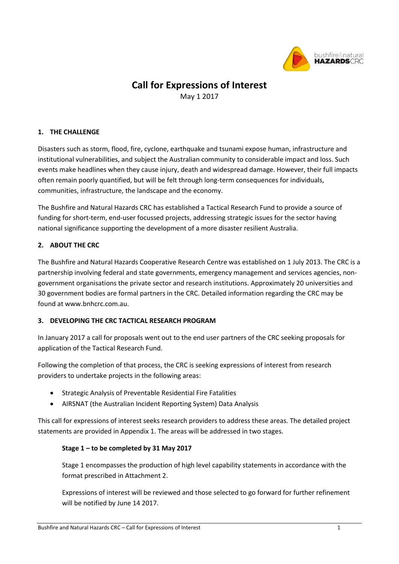

# **Call for Expressions of Interest**

May 1 2017

# **1. THE CHALLENGE**

Disasters such as storm, flood, fire, cyclone, earthquake and tsunami expose human, infrastructure and institutional vulnerabilities, and subject the Australian community to considerable impact and loss. Such events make headlines when they cause injury, death and widespread damage. However, their full impacts often remain poorly quantified, but will be felt through long-term consequences for individuals, communities, infrastructure, the landscape and the economy.

The Bushfire and Natural Hazards CRC has established a Tactical Research Fund to provide a source of funding for short-term, end-user focussed projects, addressing strategic issues for the sector having national significance supporting the development of a more disaster resilient Australia.

# **2. ABOUT THE CRC**

The Bushfire and Natural Hazards Cooperative Research Centre was established on 1 July 2013. The CRC is a partnership involving federal and state governments, emergency management and services agencies, nongovernment organisations the private sector and research institutions. Approximately 20 universities and 30 government bodies are formal partners in the CRC. Detailed information regarding the CRC may be found at www.bnhcrc.com.au.

# **3. DEVELOPING THE CRC TACTICAL RESEARCH PROGRAM**

In January 2017 a call for proposals went out to the end user partners of the CRC seeking proposals for application of the Tactical Research Fund.

Following the completion of that process, the CRC is seeking expressions of interest from research providers to undertake projects in the following areas:

- Strategic Analysis of Preventable Residential Fire Fatalities
- AIRSNAT (the Australian Incident Reporting System) Data Analysis

This call for expressions of interest seeks research providers to address these areas. The detailed project statements are provided in Appendix 1. The areas will be addressed in two stages.

# **Stage 1 – to be completed by 31 May 2017**

Stage 1 encompasses the production of high level capability statements in accordance with the format prescribed in Attachment 2.

Expressions of interest will be reviewed and those selected to go forward for further refinement will be notified by June 14 2017.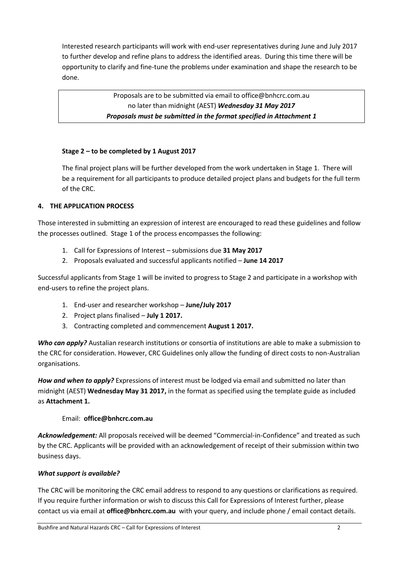Interested research participants will work with end-user representatives during June and July 2017 to further develop and refine plans to address the identified areas. During this time there will be opportunity to clarify and fine-tune the problems under examination and shape the research to be done.

> Proposals are to be submitted via email to office@bnhcrc.com.au no later than midnight (AEST) *Wednesday 31 May 2017 Proposals must be submitted in the format specified in Attachment 1*

# **Stage 2 – to be completed by 1 August 2017**

The final project plans will be further developed from the work undertaken in Stage 1. There will be a requirement for all participants to produce detailed project plans and budgets for the full term of the CRC.

# **4. THE APPLICATION PROCESS**

Those interested in submitting an expression of interest are encouraged to read these guidelines and follow the processes outlined. Stage 1 of the process encompasses the following:

- 1. Call for Expressions of Interest submissions due **31 May 2017**
- 2. Proposals evaluated and successful applicants notified **June 14 2017**

Successful applicants from Stage 1 will be invited to progress to Stage 2 and participate in a workshop with end-users to refine the project plans.

- 1. End-user and researcher workshop **June/July 2017**
- 2. Project plans finalised **July 1 2017.**
- 3. Contracting completed and commencement **August 1 2017.**

*Who can apply?* Austalian research institutions or consortia of institutions are able to make a submission to the CRC for consideration. However, CRC Guidelines only allow the funding of direct costs to non-Australian organisations.

*How and when to apply?* Expressions of interest must be lodged via email and submitted no later than midnight (AEST) **Wednesday May 31 2017,** in the format as specified using the template guide as included as **Attachment 1.**

# Email: **office@bnhcrc.com.au**

*Acknowledgement:* All proposals received will be deemed "Commercial-in-Confidence" and treated as such by the CRC. Applicants will be provided with an acknowledgement of receipt of their submission within two business days.

# *What support is available?*

The CRC will be monitoring the CRC email address to respond to any questions or clarifications as required. If you require further information or wish to discuss this Call for Expressions of Interest further, please contact us via email at **office@bnhcrc.com.au** with your query, and include phone / email contact details.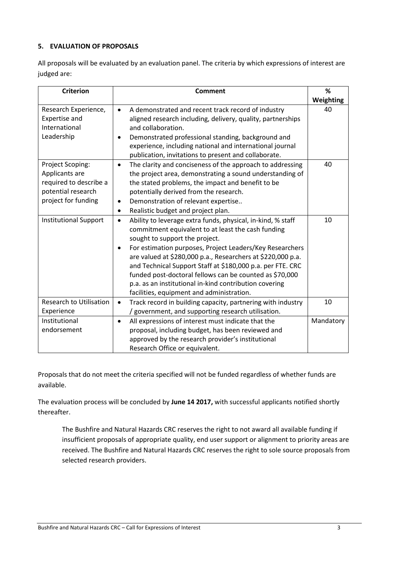# **5. EVALUATION OF PROPOSALS**

All proposals will be evaluated by an evaluation panel. The criteria by which expressions of interest are judged are:

| <b>Criterion</b>                                                                                          | <b>Comment</b>                                                                                                                                                                                                                                                                                                                                                                                                                                                                                                                           | %         |
|-----------------------------------------------------------------------------------------------------------|------------------------------------------------------------------------------------------------------------------------------------------------------------------------------------------------------------------------------------------------------------------------------------------------------------------------------------------------------------------------------------------------------------------------------------------------------------------------------------------------------------------------------------------|-----------|
|                                                                                                           |                                                                                                                                                                                                                                                                                                                                                                                                                                                                                                                                          | Weighting |
| Research Experience,<br><b>Expertise and</b><br>International<br>Leadership                               | A demonstrated and recent track record of industry<br>$\bullet$<br>aligned research including, delivery, quality, partnerships<br>and collaboration.<br>Demonstrated professional standing, background and<br>$\bullet$<br>experience, including national and international journal<br>publication, invitations to present and collaborate.                                                                                                                                                                                              | 40        |
| Project Scoping:<br>Applicants are<br>required to describe a<br>potential research<br>project for funding | The clarity and conciseness of the approach to addressing<br>$\bullet$<br>the project area, demonstrating a sound understanding of<br>the stated problems, the impact and benefit to be<br>potentially derived from the research.<br>Demonstration of relevant expertise<br>$\bullet$<br>Realistic budget and project plan.<br>$\bullet$                                                                                                                                                                                                 | 40        |
| <b>Institutional Support</b>                                                                              | Ability to leverage extra funds, physical, in-kind, % staff<br>$\bullet$<br>commitment equivalent to at least the cash funding<br>sought to support the project.<br>For estimation purposes, Project Leaders/Key Researchers<br>$\bullet$<br>are valued at \$280,000 p.a., Researchers at \$220,000 p.a.<br>and Technical Support Staff at \$180,000 p.a. per FTE. CRC<br>funded post-doctoral fellows can be counted as \$70,000<br>p.a. as an institutional in-kind contribution covering<br>facilities, equipment and administration. | 10        |
| <b>Research to Utilisation</b><br>Experience                                                              | Track record in building capacity, partnering with industry<br>$\bullet$<br>/ government, and supporting research utilisation.                                                                                                                                                                                                                                                                                                                                                                                                           | 10        |
| Institutional<br>endorsement                                                                              | All expressions of interest must indicate that the<br>$\bullet$<br>proposal, including budget, has been reviewed and<br>approved by the research provider's institutional<br>Research Office or equivalent.                                                                                                                                                                                                                                                                                                                              | Mandatory |

Proposals that do not meet the criteria specified will not be funded regardless of whether funds are available.

The evaluation process will be concluded by **June 14 2017,** with successful applicants notified shortly thereafter.

The Bushfire and Natural Hazards CRC reserves the right to not award all available funding if insufficient proposals of appropriate quality, end user support or alignment to priority areas are received. The Bushfire and Natural Hazards CRC reserves the right to sole source proposals from selected research providers.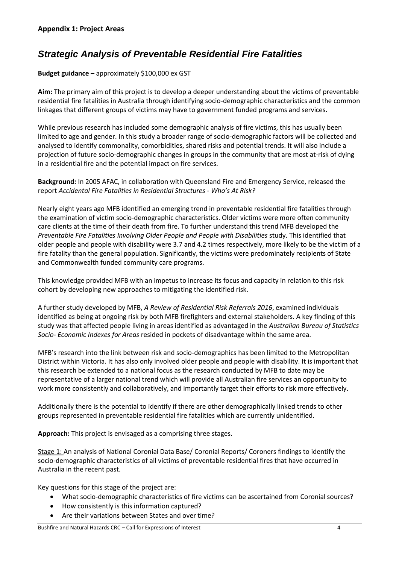# *Strategic Analysis of Preventable Residential Fire Fatalities*

### **Budget guidance** – approximately \$100,000 ex GST

**Aim:** The primary aim of this project is to develop a deeper understanding about the victims of preventable residential fire fatalities in Australia through identifying socio-demographic characteristics and the common linkages that different groups of victims may have to government funded programs and services.

While previous research has included some demographic analysis of fire victims, this has usually been limited to age and gender. In this study a broader range of socio-demographic factors will be collected and analysed to identify commonality, comorbidities, shared risks and potential trends. It will also include a projection of future socio-demographic changes in groups in the community that are most at-risk of dying in a residential fire and the potential impact on fire services.

**Background:** In 2005 AFAC, in collaboration with Queensland Fire and Emergency Service, released the report *Accidental Fire Fatalities in Residential Structures - Who's At Risk?*

Nearly eight years ago MFB identified an emerging trend in preventable residential fire fatalities through the examination of victim socio-demographic characteristics. Older victims were more often community care clients at the time of their death from fire. To further understand this trend MFB developed the *Preventable Fire Fatalities Involving Older People and People with Disabilities* study. This identified that older people and people with disability were 3.7 and 4.2 times respectively, more likely to be the victim of a fire fatality than the general population. Significantly, the victims were predominately recipients of State and Commonwealth funded community care programs.

This knowledge provided MFB with an impetus to increase its focus and capacity in relation to this risk cohort by developing new approaches to mitigating the identified risk.

A further study developed by MFB, *A Review of Residential Risk Referrals 2016*, examined individuals identified as being at ongoing risk by both MFB firefighters and external stakeholders. A key finding of this study was that affected people living in areas identified as advantaged in the *Australian Bureau of Statistics Socio- Economic Indexes for Areas* resided in pockets of disadvantage within the same area.

MFB's research into the link between risk and socio-demographics has been limited to the Metropolitan District within Victoria. It has also only involved older people and people with disability. It is important that this research be extended to a national focus as the research conducted by MFB to date may be representative of a larger national trend which will provide all Australian fire services an opportunity to work more consistently and collaboratively, and importantly target their efforts to risk more effectively.

Additionally there is the potential to identify if there are other demographically linked trends to other groups represented in preventable residential fire fatalities which are currently unidentified.

**Approach:** This project is envisaged as a comprising three stages.

Stage 1: An analysis of National Coronial Data Base/ Coronial Reports/ Coroners findings to identify the socio-demographic characteristics of all victims of preventable residential fires that have occurred in Australia in the recent past.

Key questions for this stage of the project are:

- What socio-demographic characteristics of fire victims can be ascertained from Coronial sources?
- How consistently is this information captured?
- Are their variations between States and over time?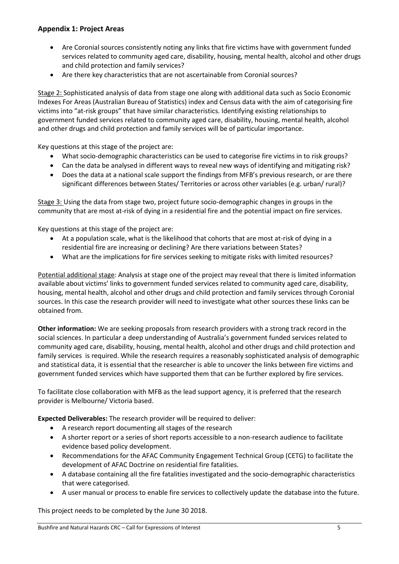# **Appendix 1: Project Areas**

- Are Coronial sources consistently noting any links that fire victims have with government funded services related to community aged care, disability, housing, mental health, alcohol and other drugs and child protection and family services?
- Are there key characteristics that are not ascertainable from Coronial sources?

Stage 2: Sophisticated analysis of data from stage one along with additional data such as Socio Economic Indexes For Areas (Australian Bureau of Statistics) index and Census data with the aim of categorising fire victims into "at-risk groups" that have similar characteristics. Identifying existing relationships to government funded services related to community aged care, disability, housing, mental health, alcohol and other drugs and child protection and family services will be of particular importance.

Key questions at this stage of the project are:

- What socio-demographic characteristics can be used to categorise fire victims in to risk groups?
- Can the data be analysed in different ways to reveal new ways of identifying and mitigating risk?
- Does the data at a national scale support the findings from MFB's previous research, or are there significant differences between States/ Territories or across other variables (e.g. urban/ rural)?

Stage 3: Using the data from stage two, project future socio-demographic changes in groups in the community that are most at-risk of dying in a residential fire and the potential impact on fire services.

Key questions at this stage of the project are:

- At a population scale, what is the likelihood that cohorts that are most at-risk of dying in a residential fire are increasing or declining? Are there variations between States?
- What are the implications for fire services seeking to mitigate risks with limited resources?

Potential additional stage: Analysis at stage one of the project may reveal that there is limited information available about victims' links to government funded services related to community aged care, disability, housing, mental health, alcohol and other drugs and child protection and family services through Coronial sources. In this case the research provider will need to investigate what other sources these links can be obtained from.

**Other information:** We are seeking proposals from research providers with a strong track record in the social sciences. In particular a deep understanding of Australia's government funded services related to community aged care, disability, housing, mental health, alcohol and other drugs and child protection and family services is required. While the research requires a reasonably sophisticated analysis of demographic and statistical data, it is essential that the researcher is able to uncover the links between fire victims and government funded services which have supported them that can be further explored by fire services.

To facilitate close collaboration with MFB as the lead support agency, it is preferred that the research provider is Melbourne/ Victoria based.

**Expected Deliverables:** The research provider will be required to deliver:

- A research report documenting all stages of the research
- A shorter report or a series of short reports accessible to a non-research audience to facilitate evidence based policy development.
- Recommendations for the AFAC Community Engagement Technical Group (CETG) to facilitate the development of AFAC Doctrine on residential fire fatalities.
- A database containing all the fire fatalities investigated and the socio-demographic characteristics that were categorised.
- A user manual or process to enable fire services to collectively update the database into the future.

This project needs to be completed by the June 30 2018.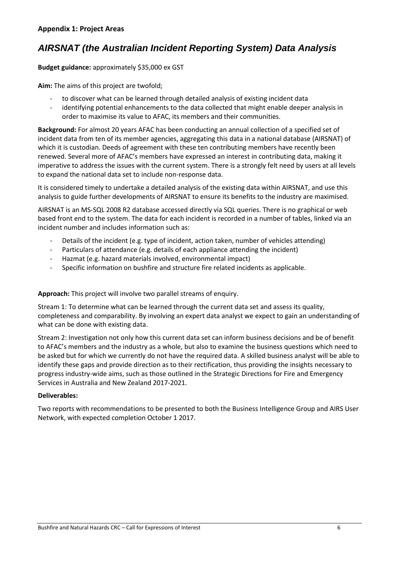# *AIRSNAT (the Australian Incident Reporting System) Data Analysis*

**Budget guidance:** approximately \$35,000 ex GST

**Aim:** The aims of this project are twofold;

- to discover what can be learned through detailed analysis of existing incident data
- identifying potential enhancements to the data collected that might enable deeper analysis in order to maximise its value to AFAC, its members and their communities.

**Background:** For almost 20 years AFAC has been conducting an annual collection of a specified set of incident data from ten of its member agencies, aggregating this data in a national database (AIRSNAT) of which it is custodian. Deeds of agreement with these ten contributing members have recently been renewed. Several more of AFAC's members have expressed an interest in contributing data, making it imperative to address the issues with the current system. There is a strongly felt need by users at all levels to expand the national data set to include non-response data.

It is considered timely to undertake a detailed analysis of the existing data within AIRSNAT, and use this analysis to guide further developments of AIRSNAT to ensure its benefits to the industry are maximised.

AIRSNAT is an MS-SQL 2008 R2 database accessed directly via SQL queries. There is no graphical or web based front end to the system. The data for each incident is recorded in a number of tables, linked via an incident number and includes information such as:

- Details of the incident (e.g. type of incident, action taken, number of vehicles attending)
- Particulars of attendance (e.g. details of each appliance attending the incident)
- Hazmat (e.g. hazard materials involved, environmental impact)
- Specific information on bushfire and structure fire related incidents as applicable.

**Approach:** This project will involve two parallel streams of enquiry.

Stream 1: To determine what can be learned through the current data set and assess its quality, completeness and comparability. By involving an expert data analyst we expect to gain an understanding of what can be done with existing data.

Stream 2: Investigation not only how this current data set can inform business decisions and be of benefit to AFAC's members and the industry as a whole, but also to examine the business questions which need to be asked but for which we currently do not have the required data. A skilled business analyst will be able to identify these gaps and provide direction as to their rectification, thus providing the insights necessary to progress industry-wide aims, such as those outlined in the Strategic Directions for Fire and Emergency Services in Australia and New Zealand 2017-2021.

#### **Deliverables:**

Two reports with recommendations to be presented to both the Business Intelligence Group and AIRS User Network, with expected completion October 1 2017.